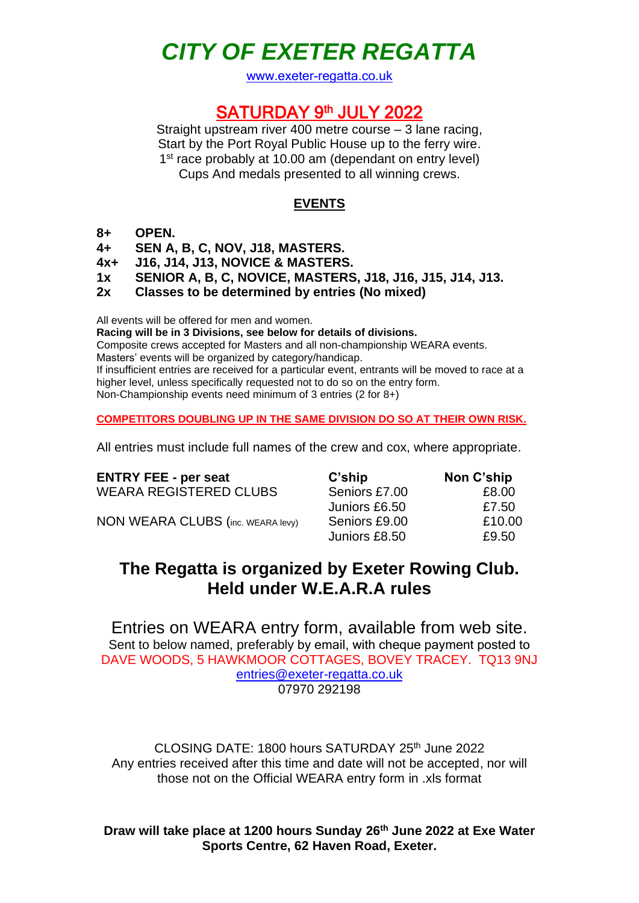# *CITY OF EXETER REGATTA*

www.exeter-regatta.co.uk

### SATURDAY 9th JULY 2022

Straight upstream river 400 metre course – 3 lane racing, Start by the Port Royal Public House up to the ferry wire. 1<sup>st</sup> race probably at 10.00 am (dependant on entry level) Cups And medals presented to all winning crews.

### **EVENTS**

### **8+ OPEN.**

**4+ SEN A, B, C, NOV, J18, MASTERS.**

- **4x+ J16, J14, J13, NOVICE & MASTERS.**
- **1x SENIOR A, B, C, NOVICE, MASTERS, J18, J16, J15, J14, J13.**
- **2x Classes to be determined by entries (No mixed)**

All events will be offered for men and women.

**Racing will be in 3 Divisions, see below for details of divisions.**

Composite crews accepted for Masters and all non-championship WEARA events. Masters' events will be organized by category/handicap.

If insufficient entries are received for a particular event, entrants will be moved to race at a higher level, unless specifically requested not to do so on the entry form. Non-Championship events need minimum of 3 entries (2 for 8+)

**COMPETITORS DOUBLING UP IN THE SAME DIVISION DO SO AT THEIR OWN RISK.**

All entries must include full names of the crew and cox, where appropriate.

| <b>ENTRY FEE - per seat</b>              | C'ship        | Non C'ship |
|------------------------------------------|---------------|------------|
| <b>WEARA REGISTERED CLUBS</b>            | Seniors £7.00 | £8.00      |
|                                          | Juniors £6.50 | £7.50      |
| <b>NON WEARA CLUBS (inc. WEARA levy)</b> | Seniors £9.00 | £10.00     |
|                                          | Juniors £8.50 | £9.50      |

## **The Regatta is organized by Exeter Rowing Club. Held under W.E.A.R.A rules**

Entries on WEARA entry form, available from web site. Sent to below named, preferably by email, with cheque payment posted to DAVE WOODS, 5 HAWKMOOR COTTAGES, BOVEY TRACEY. TQ13 9NJ [entries@exeter-regatta.co.uk](mailto:dw00ds@btinternet.com) 07970 292198

CLOSING DATE: 1800 hours SATURDAY 25th June 2022 Any entries received after this time and date will not be accepted, nor will those not on the Official WEARA entry form in .xls format

**Draw will take place at 1200 hours Sunday 26 th June 2022 at Exe Water Sports Centre, 62 Haven Road, Exeter.**